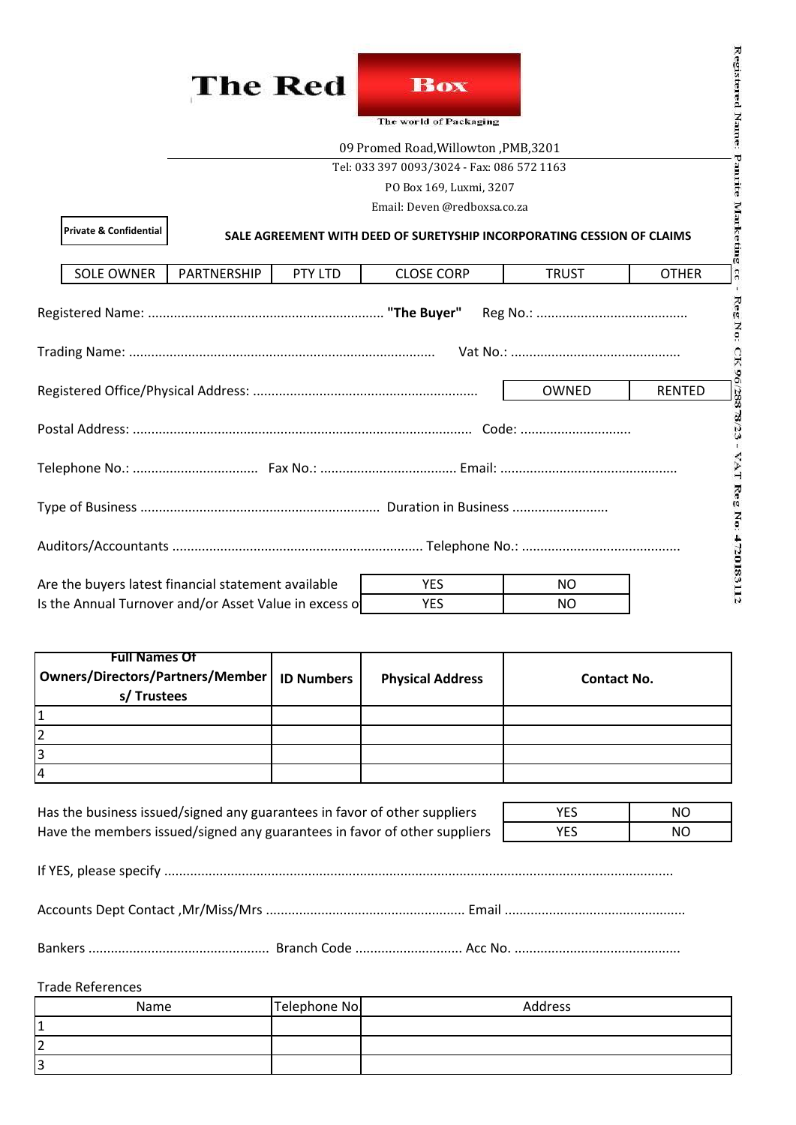



|                                                                            | The Red                                                                             |         | <b>Box</b><br>The world of Packaging |              | Registered Name:               |
|----------------------------------------------------------------------------|-------------------------------------------------------------------------------------|---------|--------------------------------------|--------------|--------------------------------|
|                                                                            | 09 Promed Road, Willowton, PMB, 3201                                                |         |                                      |              |                                |
|                                                                            | Pannite<br>Tel: 033 397 0093/3024 - Fax: 086 572 1163                               |         |                                      |              |                                |
|                                                                            | PO Box 169, Luxmi, 3207<br>Email: Deven @redboxsa.co.za                             |         |                                      |              |                                |
| <b>Private &amp; Confidential</b>                                          | Marketing<br>SALE AGREEMENT WITH DEED OF SURETYSHIP INCORPORATING CESSION OF CLAIMS |         |                                      |              |                                |
| <b>SOLE OWNER</b>                                                          | PARTNERSHIP                                                                         | PTY LTD | <b>CLOSE CORP</b>                    | <b>TRUST</b> | $\overline{3}$<br><b>OTHER</b> |
| RegNo:                                                                     |                                                                                     |         |                                      |              |                                |
| OWNED<br><b>RENTED</b>                                                     |                                                                                     |         |                                      |              |                                |
| CK 96/28878/23<br>TAT                                                      |                                                                                     |         |                                      |              |                                |
| Reg No: 4720183112                                                         |                                                                                     |         |                                      |              |                                |
|                                                                            |                                                                                     |         |                                      |              |                                |
| Are the buyers latest financial statement available                        |                                                                                     |         | <b>YES</b>                           | <b>NO</b>    |                                |
| Is the Annual Turnover and/or Asset Value in excess of<br><b>YES</b><br>NO |                                                                                     |         |                                      |              |                                |

| <b>Full Names Of</b><br>Owners/Directors/Partners/Member<br>s/Trustees | <b>ID Numbers</b> | <b>Physical Address</b> | <b>Contact No.</b> |
|------------------------------------------------------------------------|-------------------|-------------------------|--------------------|
|                                                                        |                   |                         |                    |
|                                                                        |                   |                         |                    |
|                                                                        |                   |                         |                    |
| $\overline{4}$                                                         |                   |                         |                    |

| Has the business issued/signed any guarantees in favor of other suppliers | YES        | NΟ |
|---------------------------------------------------------------------------|------------|----|
| Have the members issued/signed any guarantees in favor of other suppliers | <b>YES</b> | NΟ |

If YES, please specify ..........................................................................................................................................

Accounts Dept Contact ,Mr/Miss/Mrs ...................................................... Email .................................................

Bankers ................................................. Branch Code ............................. Acc No. .............................................

| <b>Trade References</b> |
|-------------------------|
|-------------------------|

| Name    | Telephone No. | Address |
|---------|---------------|---------|
|         |               |         |
| ∽<br>▵  |               |         |
| כי<br>כ |               |         |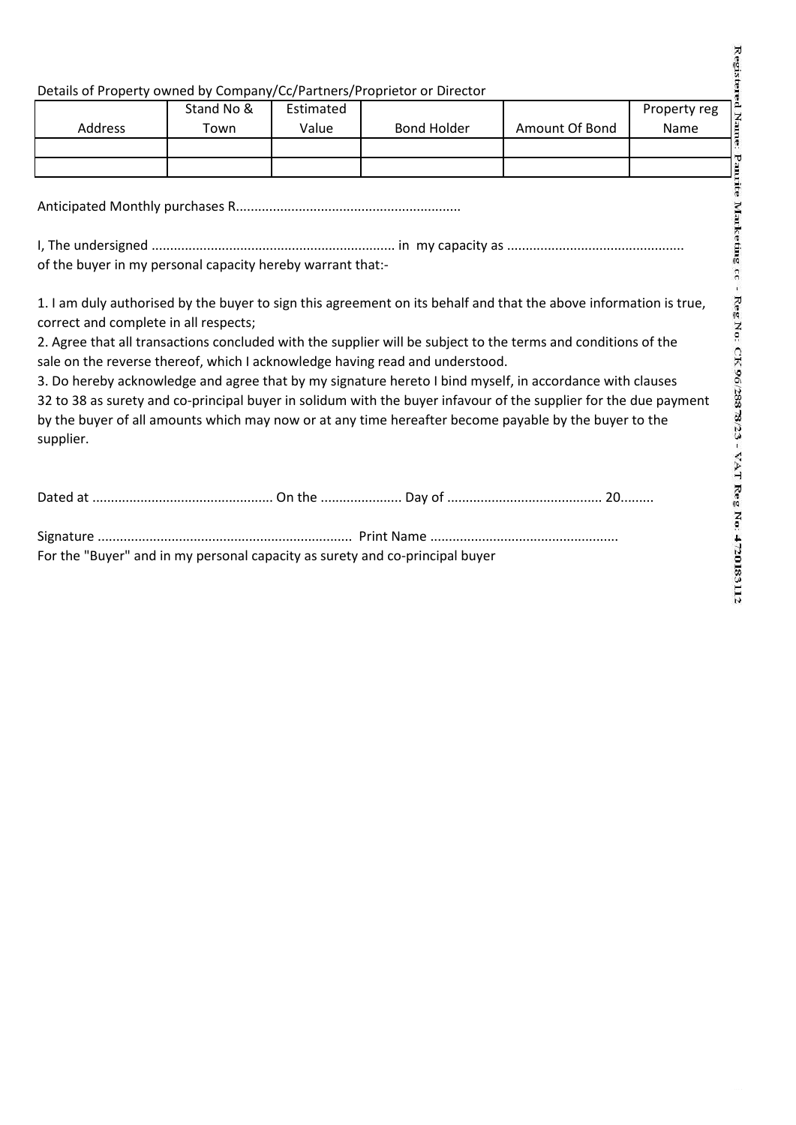### Details of Property owned by Company/Cc/Partners/Proprietor or Director

|         | Stand No & | Estimated |             |                | Property reg |
|---------|------------|-----------|-------------|----------------|--------------|
| Address | Town       | Value     | Bond Holder | Amount Of Bond | Name         |
|         |            |           |             |                |              |
|         |            |           |             |                |              |

Anticipated Monthly purchases R.............................................................

I, The undersigned .................................................................. in my capacity as ................................................ of the buyer in my personal capacity hereby warrant that:-

1. I am duly authorised by the buyer to sign this agreement on its behalf and that the above information is true, correct and complete in all respects;

2. Agree that all transactions concluded with the supplier will be subject to the terms and conditions of the sale on the reverse thereof, which I acknowledge having read and understood.

3. Do hereby acknowledge and agree that by my signature hereto I bind myself, in accordance with clauses 32 to 38 as surety and co-principal buyer in solidum with the buyer infavour of the supplier for the due payment by the buyer of all amounts which may now or at any time hereafter become payable by the buyer to the supplier.

Dated at ................................................. On the ...................... Day of .......................................... 20.........

Signature ..................................................................... Print Name ................................................... For the "Buyer" and in my personal capacity as surety and co-principal buyer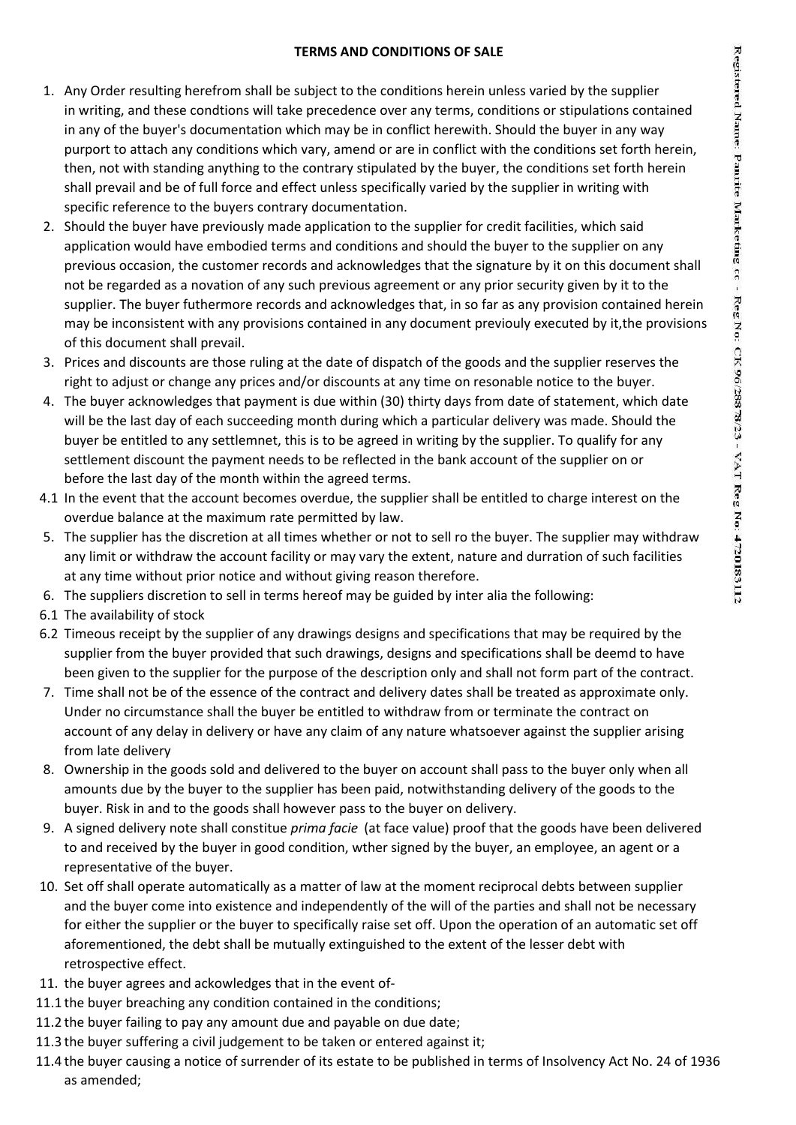#### **TERMS AND CONDITIONS OF SALE**

- 1. Any Order resulting herefrom shall be subject to the conditions herein unless varied by the supplier in writing, and these condtions will take precedence over any terms, conditions or stipulations contained in any of the buyer's documentation which may be in conflict herewith. Should the buyer in any way purport to attach any conditions which vary, amend or are in conflict with the conditions set forth herein, then, not with standing anything to the contrary stipulated by the buyer, the conditions set forth herein shall prevail and be of full force and effect unless specifically varied by the supplier in writing with specific reference to the buyers contrary documentation.
- 2. Should the buyer have previously made application to the supplier for credit facilities, which said application would have embodied terms and conditions and should the buyer to the supplier on any previous occasion, the customer records and acknowledges that the signature by it on this document shall not be regarded as a novation of any such previous agreement or any prior security given by it to the supplier. The buyer futhermore records and acknowledges that, in so far as any provision contained herein may be inconsistent with any provisions contained in any document previouly executed by it,the provisions of this document shall prevail.
- 3. Prices and discounts are those ruling at the date of dispatch of the goods and the supplier reserves the right to adjust or change any prices and/or discounts at any time on resonable notice to the buyer.
- 4. The buyer acknowledges that payment is due within (30) thirty days from date of statement, which date will be the last day of each succeeding month during which a particular delivery was made. Should the buyer be entitled to any settlemnet, this is to be agreed in writing by the supplier. To qualify for any settlement discount the payment needs to be reflected in the bank account of the supplier on or before the last day of the month within the agreed terms.
- 4.1 In the event that the account becomes overdue, the supplier shall be entitled to charge interest on the overdue balance at the maximum rate permitted by law.
- 5. The supplier has the discretion at all times whether or not to sell ro the buyer. The supplier may withdraw any limit or withdraw the account facility or may vary the extent, nature and durration of such facilities at any time without prior notice and without giving reason therefore.
- 6. The suppliers discretion to sell in terms hereof may be guided by inter alia the following:
- 6.1 The availability of stock
- 6.2 Timeous receipt by the supplier of any drawings designs and specifications that may be required by the supplier from the buyer provided that such drawings, designs and specifications shall be deemd to have been given to the supplier for the purpose of the description only and shall not form part of the contract.
- 7. Time shall not be of the essence of the contract and delivery dates shall be treated as approximate only. Under no circumstance shall the buyer be entitled to withdraw from or terminate the contract on account of any delay in delivery or have any claim of any nature whatsoever against the supplier arising from late delivery
- 8. Ownership in the goods sold and delivered to the buyer on account shall pass to the buyer only when all amounts due by the buyer to the supplier has been paid, notwithstanding delivery of the goods to the buyer. Risk in and to the goods shall however pass to the buyer on delivery.
- 9. A signed delivery note shall constitue *prima facie* (at face value) proof that the goods have been delivered to and received by the buyer in good condition, wther signed by the buyer, an employee, an agent or a representative of the buyer.
- 10. Set off shall operate automatically as a matter of law at the moment reciprocal debts between supplier and the buyer come into existence and independently of the will of the parties and shall not be necessary for either the supplier or the buyer to specifically raise set off. Upon the operation of an automatic set off aforementioned, the debt shall be mutually extinguished to the extent of the lesser debt with retrospective effect.
- 11. the buyer agrees and ackowledges that in the event of-
- 11.1 the buyer breaching any condition contained in the conditions;
- 11.2 the buyer failing to pay any amount due and payable on due date;
- 11.3 the buyer suffering a civil judgement to be taken or entered against it;
- 11.4 the buyer causing a notice of surrender of its estate to be published in terms of Insolvency Act No. 24 of 1936 as amended;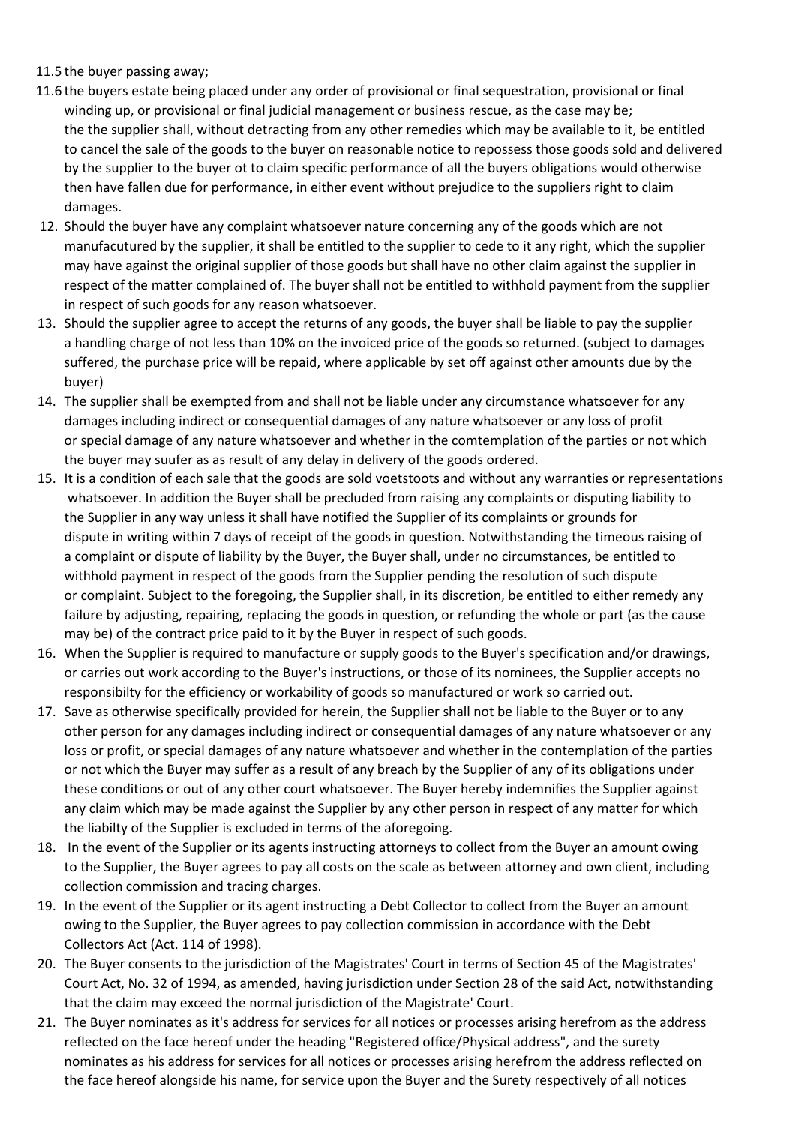# 11.5 the buyer passing away;

- 11.6 the buyers estate being placed under any order of provisional or final sequestration, provisional or final winding up, or provisional or final judicial management or business rescue, as the case may be; the the supplier shall, without detracting from any other remedies which may be available to it, be entitled to cancel the sale of the goods to the buyer on reasonable notice to repossess those goods sold and delivered by the supplier to the buyer ot to claim specific performance of all the buyers obligations would otherwise then have fallen due for performance, in either event without prejudice to the suppliers right to claim damages.
- 12. Should the buyer have any complaint whatsoever nature concerning any of the goods which are not manufacutured by the supplier, it shall be entitled to the supplier to cede to it any right, which the supplier may have against the original supplier of those goods but shall have no other claim against the supplier in respect of the matter complained of. The buyer shall not be entitled to withhold payment from the supplier in respect of such goods for any reason whatsoever.
- 13. Should the supplier agree to accept the returns of any goods, the buyer shall be liable to pay the supplier a handling charge of not less than 10% on the invoiced price of the goods so returned. (subject to damages suffered, the purchase price will be repaid, where applicable by set off against other amounts due by the buyer)
- 14. The supplier shall be exempted from and shall not be liable under any circumstance whatsoever for any damages including indirect or consequential damages of any nature whatsoever or any loss of profit or special damage of any nature whatsoever and whether in the comtemplation of the parties or not which the buyer may suufer as as result of any delay in delivery of the goods ordered.
- 15. It is a condition of each sale that the goods are sold voetstoots and without any warranties or representations whatsoever. In addition the Buyer shall be precluded from raising any complaints or disputing liability to the Supplier in any way unless it shall have notified the Supplier of its complaints or grounds for dispute in writing within 7 days of receipt of the goods in question. Notwithstanding the timeous raising of a complaint or dispute of liability by the Buyer, the Buyer shall, under no circumstances, be entitled to withhold payment in respect of the goods from the Supplier pending the resolution of such dispute or complaint. Subject to the foregoing, the Supplier shall, in its discretion, be entitled to either remedy any failure by adjusting, repairing, replacing the goods in question, or refunding the whole or part (as the cause may be) of the contract price paid to it by the Buyer in respect of such goods.
- 16. When the Supplier is required to manufacture or supply goods to the Buyer's specification and/or drawings, or carries out work according to the Buyer's instructions, or those of its nominees, the Supplier accepts no responsibilty for the efficiency or workability of goods so manufactured or work so carried out.
- 17. Save as otherwise specifically provided for herein, the Supplier shall not be liable to the Buyer or to any other person for any damages including indirect or consequential damages of any nature whatsoever or any loss or profit, or special damages of any nature whatsoever and whether in the contemplation of the parties or not which the Buyer may suffer as a result of any breach by the Supplier of any of its obligations under these conditions or out of any other court whatsoever. The Buyer hereby indemnifies the Supplier against any claim which may be made against the Supplier by any other person in respect of any matter for which the liabilty of the Supplier is excluded in terms of the aforegoing.
- 18. In the event of the Supplier or its agents instructing attorneys to collect from the Buyer an amount owing to the Supplier, the Buyer agrees to pay all costs on the scale as between attorney and own client, including collection commission and tracing charges.
- 19. In the event of the Supplier or its agent instructing a Debt Collector to collect from the Buyer an amount owing to the Supplier, the Buyer agrees to pay collection commission in accordance with the Debt Collectors Act (Act. 114 of 1998).
- 20. The Buyer consents to the jurisdiction of the Magistrates' Court in terms of Section 45 of the Magistrates' Court Act, No. 32 of 1994, as amended, having jurisdiction under Section 28 of the said Act, notwithstanding that the claim may exceed the normal jurisdiction of the Magistrate' Court.
- 21. The Buyer nominates as it's address for services for all notices or processes arising herefrom as the address reflected on the face hereof under the heading "Registered office/Physical address", and the surety nominates as his address for services for all notices or processes arising herefrom the address reflected on the face hereof alongside his name, for service upon the Buyer and the Surety respectively of all notices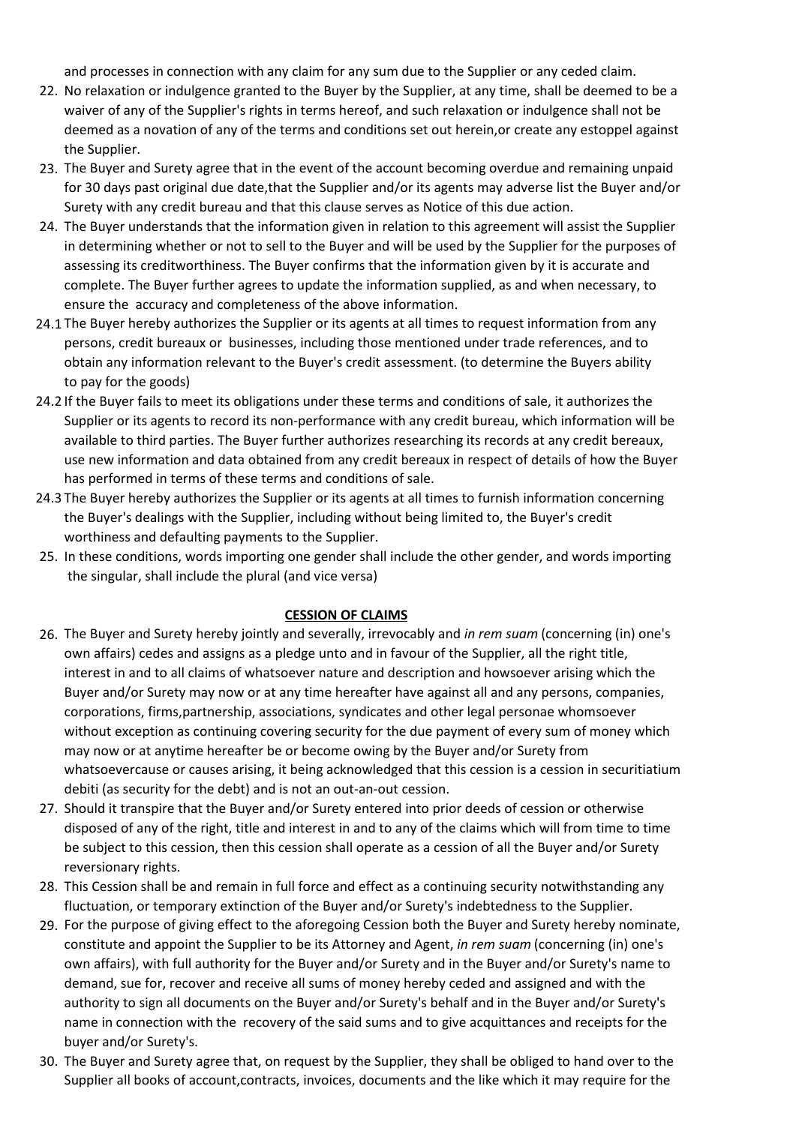and processes in connection with any claim for any sum due to the Supplier or any ceded claim.

- 22. No relaxation or indulgence granted to the Buyer by the Supplier, at any time, shall be deemed to be a waiver of any of the Supplier's rights in terms hereof, and such relaxation or indulgence shall not be deemed as a novation of any of the terms and conditions set out herein,or create any estoppel against the Supplier.
- 23. The Buyer and Surety agree that in the event of the account becoming overdue and remaining unpaid for 30 days past original due date,that the Supplier and/or its agents may adverse list the Buyer and/or Surety with any credit bureau and that this clause serves as Notice of this due action.
- 24. The Buyer understands that the information given in relation to this agreement will assist the Supplier in determining whether or not to sell to the Buyer and will be used by the Supplier for the purposes of assessing its creditworthiness. The Buyer confirms that the information given by it is accurate and complete. The Buyer further agrees to update the information supplied, as and when necessary, to ensure the accuracy and completeness of the above information.
- 24.1 The Buyer hereby authorizes the Supplier or its agents at all times to request information from any persons, credit bureaux or businesses, including those mentioned under trade references, and to obtain any information relevant to the Buyer's credit assessment. (to determine the Buyers ability to pay for the goods)
- 24.2 If the Buyer fails to meet its obligations under these terms and conditions of sale, it authorizes the Supplier or its agents to record its non-performance with any credit bureau, which information will be available to third parties. The Buyer further authorizes researching its records at any credit bereaux, use new information and data obtained from any credit bereaux in respect of details of how the Buyer has performed in terms of these terms and conditions of sale.
- 24.3 The Buyer hereby authorizes the Supplier or its agents at all times to furnish information concerning the Buyer's dealings with the Supplier, including without being limited to, the Buyer's credit worthiness and defaulting payments to the Supplier.
- 25. In these conditions, words importing one gender shall include the other gender, and words importing the singular, shall include the plural (and vice versa)

# **CESSION OF CLAIMS**

- 26. The Buyer and Surety hereby jointly and severally, irrevocably and *in rem suam* (concerning (in) one's own affairs) cedes and assigns as a pledge unto and in favour of the Supplier, all the right title, interest in and to all claims of whatsoever nature and description and howsoever arising which the Buyer and/or Surety may now or at any time hereafter have against all and any persons, companies, corporations, firms,partnership, associations, syndicates and other legal personae whomsoever without exception as continuing covering security for the due payment of every sum of money which may now or at anytime hereafter be or become owing by the Buyer and/or Surety from whatsoevercause or causes arising, it being acknowledged that this cession is a cession in securitiatium debiti (as security for the debt) and is not an out-an-out cession.
- 27. Should it transpire that the Buyer and/or Surety entered into prior deeds of cession or otherwise disposed of any of the right, title and interest in and to any of the claims which will from time to time be subject to this cession, then this cession shall operate as a cession of all the Buyer and/or Surety reversionary rights.
- 28. This Cession shall be and remain in full force and effect as a continuing security notwithstanding any fluctuation, or temporary extinction of the Buyer and/or Surety's indebtedness to the Supplier.
- 29. For the purpose of giving effect to the aforegoing Cession both the Buyer and Surety hereby nominate, constitute and appoint the Supplier to be its Attorney and Agent, *in rem suam* (concerning (in) one's own affairs), with full authority for the Buyer and/or Surety and in the Buyer and/or Surety's name to demand, sue for, recover and receive all sums of money hereby ceded and assigned and with the authority to sign all documents on the Buyer and/or Surety's behalf and in the Buyer and/or Surety's name in connection with the recovery of the said sums and to give acquittances and receipts for the buyer and/or Surety's.
- 30. The Buyer and Surety agree that, on request by the Supplier, they shall be obliged to hand over to the Supplier all books of account,contracts, invoices, documents and the like which it may require for the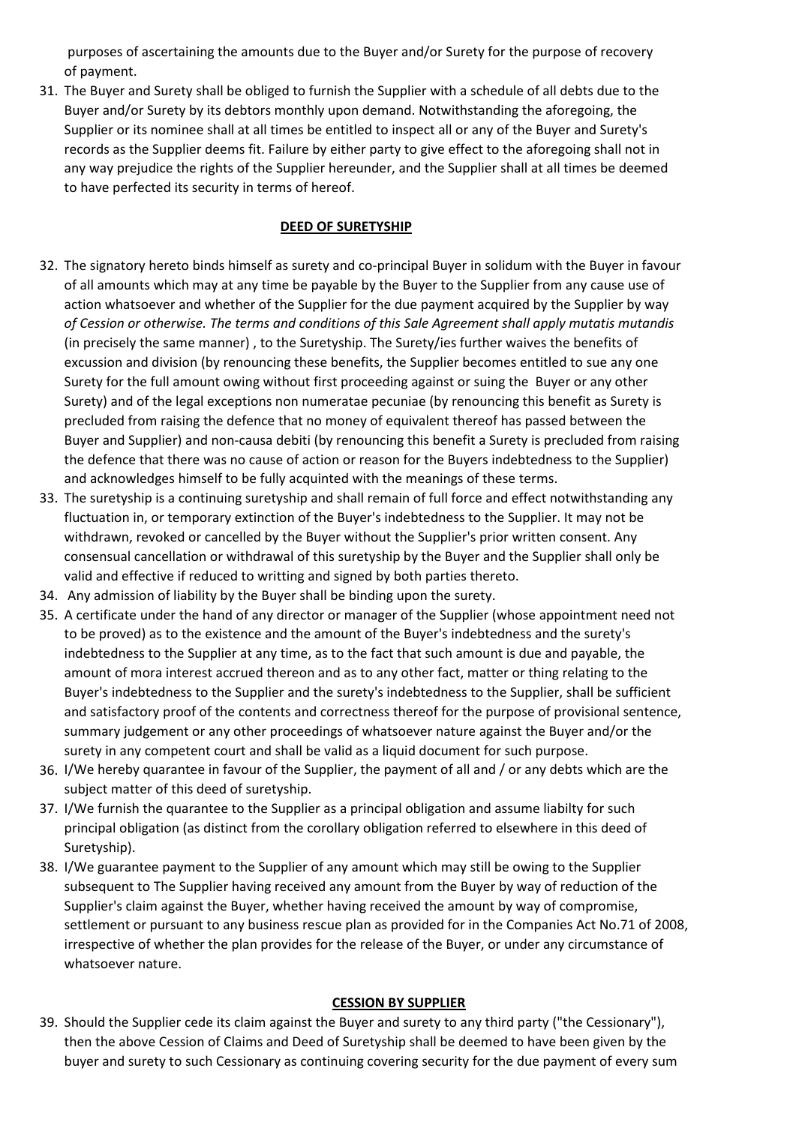purposes of ascertaining the amounts due to the Buyer and/or Surety for the purpose of recovery of payment.

31. The Buyer and Surety shall be obliged to furnish the Supplier with a schedule of all debts due to the Buyer and/or Surety by its debtors monthly upon demand. Notwithstanding the aforegoing, the Supplier or its nominee shall at all times be entitled to inspect all or any of the Buyer and Surety's records as the Supplier deems fit. Failure by either party to give effect to the aforegoing shall not in any way prejudice the rights of the Supplier hereunder, and the Supplier shall at all times be deemed to have perfected its security in terms of hereof.

### **DEED OF SURETYSHIP**

- 32. The signatory hereto binds himself as surety and co-principal Buyer in solidum with the Buyer in favour of all amounts which may at any time be payable by the Buyer to the Supplier from any cause use of action whatsoever and whether of the Supplier for the due payment acquired by the Supplier by way *of Cession or otherwise. The terms and conditions of this Sale Agreement shall apply mutatis mutandis* (in precisely the same manner) , to the Suretyship. The Surety/ies further waives the benefits of excussion and division (by renouncing these benefits, the Supplier becomes entitled to sue any one Surety for the full amount owing without first proceeding against or suing the Buyer or any other Surety) and of the legal exceptions non numeratae pecuniae (by renouncing this benefit as Surety is precluded from raising the defence that no money of equivalent thereof has passed between the Buyer and Supplier) and non-causa debiti (by renouncing this benefit a Surety is precluded from raising the defence that there was no cause of action or reason for the Buyers indebtedness to the Supplier) and acknowledges himself to be fully acquinted with the meanings of these terms.
- 33. The suretyship is a continuing suretyship and shall remain of full force and effect notwithstanding any fluctuation in, or temporary extinction of the Buyer's indebtedness to the Supplier. It may not be withdrawn, revoked or cancelled by the Buyer without the Supplier's prior written consent. Any consensual cancellation or withdrawal of this suretyship by the Buyer and the Supplier shall only be valid and effective if reduced to writting and signed by both parties thereto.
- 34. Any admission of liability by the Buyer shall be binding upon the surety.
- 35. A certificate under the hand of any director or manager of the Supplier (whose appointment need not to be proved) as to the existence and the amount of the Buyer's indebtedness and the surety's indebtedness to the Supplier at any time, as to the fact that such amount is due and payable, the amount of mora interest accrued thereon and as to any other fact, matter or thing relating to the Buyer's indebtedness to the Supplier and the surety's indebtedness to the Supplier, shall be sufficient and satisfactory proof of the contents and correctness thereof for the purpose of provisional sentence, summary judgement or any other proceedings of whatsoever nature against the Buyer and/or the surety in any competent court and shall be valid as a liquid document for such purpose.
- 36. I/We hereby quarantee in favour of the Supplier, the payment of all and / or any debts which are the subject matter of this deed of suretyship.
- 37. I/We furnish the quarantee to the Supplier as a principal obligation and assume liabilty for such principal obligation (as distinct from the corollary obligation referred to elsewhere in this deed of Suretyship).
- 38. I/We guarantee payment to the Supplier of any amount which may still be owing to the Supplier subsequent to The Supplier having received any amount from the Buyer by way of reduction of the Supplier's claim against the Buyer, whether having received the amount by way of compromise, settlement or pursuant to any business rescue plan as provided for in the Companies Act No.71 of 2008, irrespective of whether the plan provides for the release of the Buyer, or under any circumstance of whatsoever nature.

#### **CESSION BY SUPPLIER**

39. Should the Supplier cede its claim against the Buyer and surety to any third party ("the Cessionary"), then the above Cession of Claims and Deed of Suretyship shall be deemed to have been given by the buyer and surety to such Cessionary as continuing covering security for the due payment of every sum